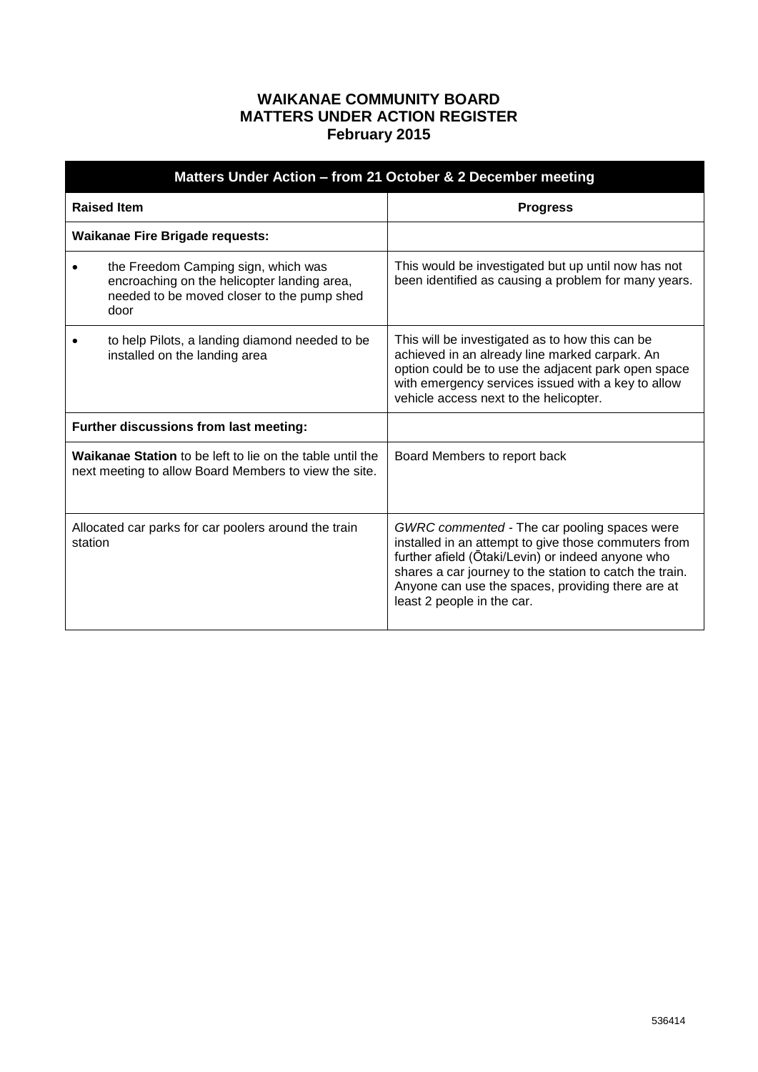## **WAIKANAE COMMUNITY BOARD MATTERS UNDER ACTION REGISTER February 2015**

| Matters Under Action - from 21 October & 2 December meeting                                                        |                                                                                                                                          |                                                                                                                                                                                                                                                                                                         |  |  |
|--------------------------------------------------------------------------------------------------------------------|------------------------------------------------------------------------------------------------------------------------------------------|---------------------------------------------------------------------------------------------------------------------------------------------------------------------------------------------------------------------------------------------------------------------------------------------------------|--|--|
| <b>Raised Item</b>                                                                                                 |                                                                                                                                          | <b>Progress</b>                                                                                                                                                                                                                                                                                         |  |  |
|                                                                                                                    | <b>Waikanae Fire Brigade requests:</b>                                                                                                   |                                                                                                                                                                                                                                                                                                         |  |  |
|                                                                                                                    | the Freedom Camping sign, which was<br>encroaching on the helicopter landing area,<br>needed to be moved closer to the pump shed<br>door | This would be investigated but up until now has not<br>been identified as causing a problem for many years.                                                                                                                                                                                             |  |  |
|                                                                                                                    | to help Pilots, a landing diamond needed to be<br>installed on the landing area                                                          | This will be investigated as to how this can be<br>achieved in an already line marked carpark. An<br>option could be to use the adjacent park open space<br>with emergency services issued with a key to allow<br>vehicle access next to the helicopter.                                                |  |  |
|                                                                                                                    | Further discussions from last meeting:                                                                                                   |                                                                                                                                                                                                                                                                                                         |  |  |
| Waikanae Station to be left to lie on the table until the<br>next meeting to allow Board Members to view the site. |                                                                                                                                          | Board Members to report back                                                                                                                                                                                                                                                                            |  |  |
| Allocated car parks for car poolers around the train<br>station                                                    |                                                                                                                                          | GWRC commented - The car pooling spaces were<br>installed in an attempt to give those commuters from<br>further afield (Ōtaki/Levin) or indeed anyone who<br>shares a car journey to the station to catch the train.<br>Anyone can use the spaces, providing there are at<br>least 2 people in the car. |  |  |